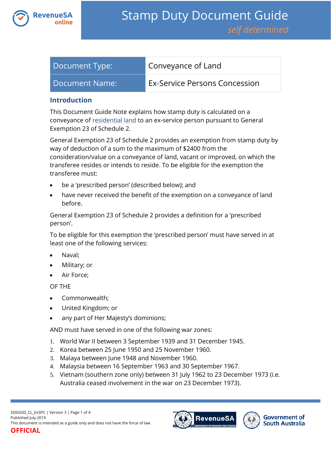

| Document Type: | Conveyance of Land            |
|----------------|-------------------------------|
| Document Name: | Ex-Service Persons Concession |

#### **Introduction**

This Document Guide Note explains how stamp duty is calculated on a conveyance of [residential land](https://www.revenuesa.sa.gov.au/stampduty/stamp-duty-document-guide#RR&PP) to an ex-service person pursuant to General Exemption 23 of Schedule 2.

General Exemption 23 of Schedule 2 provides an exemption from stamp duty by way of deduction of a sum to the maximum of \$2400 from the consideration/value on a conveyance of land, vacant or improved, on which the transferee resides or intends to reside. To be eligible for the exemption the transferee must:

- be a 'prescribed person' (described below); and
- have never received the benefit of the exemption on a conveyance of land before.

General Exemption 23 of Schedule 2 provides a definition for a 'prescribed person'.

To be eligible for this exemption the 'prescribed person' must have served in at least one of the following services:

- Naval;
- Military; or
- Air Force;

OF THE

- Commonwealth;
- United Kingdom; or
- any part of Her Majesty's dominions;

AND must have served in one of the following war zones:

- 1. World War II between 3 September 1939 and 31 December 1945.
- 2. Korea between 25 June 1950 and 25 November 1960.
- 3. Malaya between June 1948 and November 1960.
- 4. Malaysia between 16 September 1963 and 30 September 1967.
- 5. Vietnam (southern zone only) between 31 July 1962 to 23 December 1973 (i.e. Australia ceased involvement in the war on 23 December 1973).

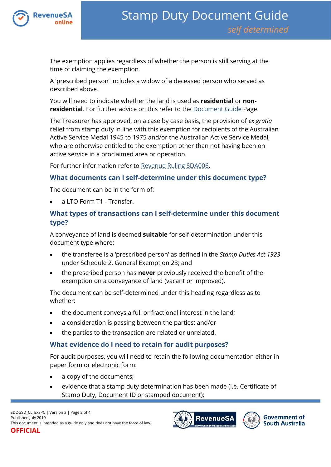

The exemption applies regardless of whether the person is still serving at the time of claiming the exemption.

A 'prescribed person' includes a widow of a deceased person who served as described above.

You will need to indicate whether the land is used as **residential** or **nonresidential**. For further advice on this refer to the [Document Guide](https://www.revenuesa.sa.gov.au/stampduty/stamp-duty-document-guide#Glossary) Page.

The Treasurer has approved, on a case by case basis, the provision of *ex gratia*  relief from stamp duty in line with this exemption for recipients of the Australian Active Service Medal 1945 to 1975 and/or the Australian Active Service Medal, who are otherwise entitled to the exemption other than not having been on active service in a proclaimed area or operation.

For further information refer to [Revenue Ruling SDA006.](https://www.revenuesa.sa.gov.au/forms-and-publications/information-circulars-and-revenue-rulings/revenue-rulings/sda006)

#### **What documents can I self-determine under this document type?**

The document can be in the form of:

a LTO Form T1 - Transfer.

# **What types of transactions can I self-determine under this document type?**

A conveyance of land is deemed **suitable** for self-determination under this document type where:

- the transferee is a 'prescribed person' as defined in the *Stamp Duties Act 1923* under Schedule 2, General Exemption 23; and
- the prescribed person has **never** previously received the benefit of the exemption on a conveyance of land (vacant or improved).

The document can be self-determined under this heading regardless as to whether:

- the document conveys a full or fractional interest in the land;
- a consideration is passing between the parties; and/or
- the parties to the transaction are related or unrelated.

#### **What evidence do I need to retain for audit purposes?**

For audit purposes, you will need to retain the following documentation either in paper form or electronic form:

- a copy of the documents;
- evidence that a stamp duty determination has been made (i.e. Certificate of Stamp Duty, Document ID or stamped document);



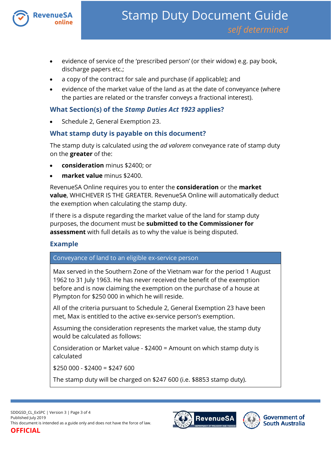

- evidence of service of the 'prescribed person' (or their widow) e.g. pay book, discharge papers etc.;
- a copy of the contract for sale and purchase (if applicable); and
- evidence of the market value of the land as at the date of conveyance (where the parties are related or the transfer conveys a fractional interest).

### **What Section(s) of the** *Stamp Duties Act 1923* **applies?**

Schedule 2, General Exemption 23.

## **What stamp duty is payable on this document?**

The stamp duty is calculated using the *ad valorem* conveyance rate of stamp duty on the **greater** of the:

- **consideration** minus \$2400; or
- **market value** minus \$2400.

RevenueSA Online requires you to enter the **consideration** or the **market value**, WHICHEVER IS THE GREATER. RevenueSA Online will automatically deduct the exemption when calculating the stamp duty.

If there is a dispute regarding the market value of the land for stamp duty purposes, the document must be **submitted to the Commissioner for assessment** with full details as to why the value is being disputed.

# **Example**

Conveyance of land to an eligible ex-service person

Max served in the Southern Zone of the Vietnam war for the period 1 August 1962 to 31 July 1963. He has never received the benefit of the exemption before and is now claiming the exemption on the purchase of a house at Plympton for \$250 000 in which he will reside.

All of the criteria pursuant to Schedule 2, General Exemption 23 have been met, Max is entitled to the active ex-service person's exemption.

Assuming the consideration represents the market value, the stamp duty would be calculated as follows:

Consideration or Market value - \$2400 = Amount on which stamp duty is calculated

 $$250,000 - $2400 = $247,600$ 

The stamp duty will be charged on \$247 600 (i.e. \$8853 stamp duty).